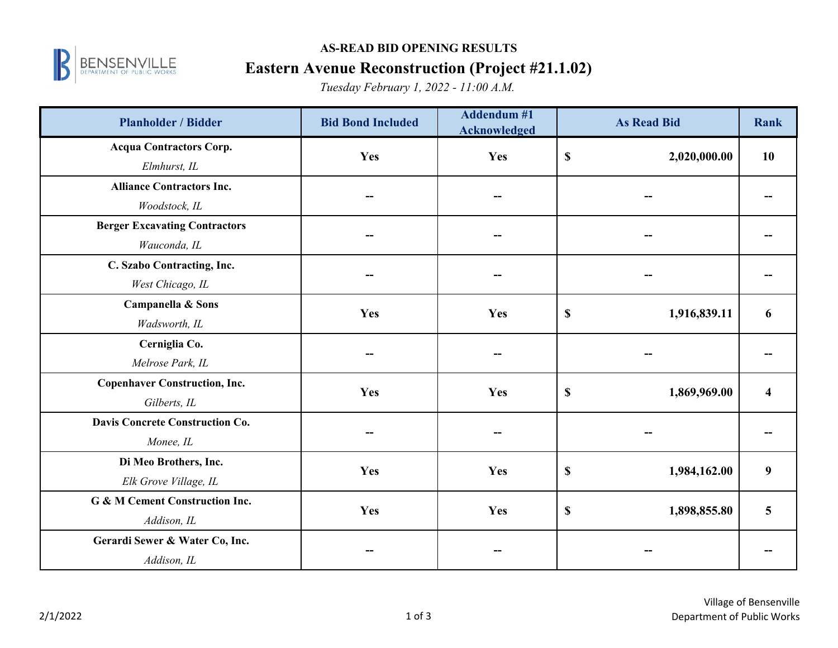

# **AS-READ BID OPENING RESULTS**

### **Eastern Avenue Reconstruction (Project #21.1.02)**

*Tuesday February 1, 2022 - 11:00 A.M.*

| <b>Planholder / Bidder</b>           | <b>Bid Bond Included</b> | <b>Addendum #1</b><br><b>Acknowledged</b> | <b>As Read Bid</b>                        | Rank                    |
|--------------------------------------|--------------------------|-------------------------------------------|-------------------------------------------|-------------------------|
| <b>Acqua Contractors Corp.</b>       | Yes                      | Yes                                       | $\boldsymbol{\mathsf{S}}$<br>2,020,000.00 | 10                      |
| Elmhurst, IL                         |                          |                                           |                                           |                         |
| <b>Alliance Contractors Inc.</b>     |                          |                                           |                                           |                         |
| Woodstock, IL                        |                          |                                           |                                           |                         |
| <b>Berger Excavating Contractors</b> |                          |                                           |                                           |                         |
| Wauconda, IL                         |                          |                                           |                                           |                         |
| C. Szabo Contracting, Inc.           |                          |                                           |                                           |                         |
| West Chicago, IL                     |                          |                                           |                                           |                         |
| Campanella & Sons                    | Yes                      | Yes                                       | \$<br>1,916,839.11                        | 6                       |
| Wadsworth, IL                        |                          |                                           |                                           |                         |
| Cerniglia Co.                        |                          |                                           |                                           |                         |
| Melrose Park, IL                     |                          |                                           |                                           |                         |
| <b>Copenhaver Construction, Inc.</b> | Yes                      | Yes                                       | $\boldsymbol{\mathsf{S}}$<br>1,869,969.00 | $\overline{\mathbf{4}}$ |
| Gilberts, IL                         |                          |                                           |                                           |                         |
| Davis Concrete Construction Co.      |                          |                                           |                                           |                         |
| Monee, IL                            |                          |                                           |                                           |                         |
| Di Meo Brothers, Inc.                | Yes                      | Yes                                       | $\boldsymbol{\mathsf{S}}$<br>1,984,162.00 | 9                       |
| Elk Grove Village, IL                |                          |                                           |                                           |                         |
| G & M Cement Construction Inc.       | Yes                      | Yes                                       | \$<br>1,898,855.80                        | 5                       |
| Addison, IL                          |                          |                                           |                                           |                         |
| Gerardi Sewer & Water Co, Inc.       |                          |                                           |                                           |                         |
| Addison, IL                          |                          |                                           |                                           |                         |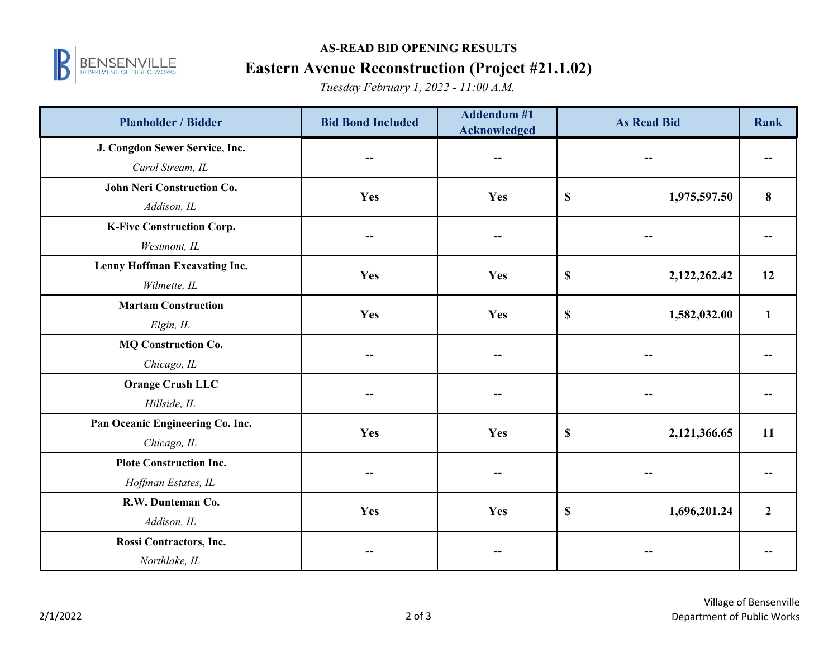

#### **AS-READ BID OPENING RESULTS**

### **Eastern Avenue Reconstruction (Project #21.1.02)**

*Tuesday February 1, 2022 - 11:00 A.M.*

| <b>Planholder / Bidder</b>       | <b>Bid Bond Included</b> | <b>Addendum#1</b><br><b>Acknowledged</b> | <b>As Read Bid</b>                        | Rank           |
|----------------------------------|--------------------------|------------------------------------------|-------------------------------------------|----------------|
| J. Congdon Sewer Service, Inc.   | --                       | --                                       |                                           |                |
| Carol Stream, IL                 |                          |                                          |                                           |                |
| John Neri Construction Co.       | Yes                      | Yes                                      | $\boldsymbol{\mathsf{S}}$<br>1,975,597.50 | 8              |
| Addison, IL                      |                          |                                          |                                           |                |
| <b>K-Five Construction Corp.</b> |                          |                                          |                                           |                |
| Westmont, IL                     |                          |                                          |                                           |                |
| Lenny Hoffman Excavating Inc.    | Yes                      | Yes                                      | $\boldsymbol{\mathsf{S}}$<br>2,122,262.42 | 12             |
| Wilmette, IL                     |                          |                                          |                                           |                |
| <b>Martam Construction</b>       | Yes                      | Yes                                      | $\mathbb S$<br>1,582,032.00               | $\mathbf{1}$   |
| Elgin, IL                        |                          |                                          |                                           |                |
| <b>MQ Construction Co.</b>       |                          |                                          |                                           |                |
| Chicago, IL                      |                          |                                          |                                           |                |
| <b>Orange Crush LLC</b>          |                          |                                          |                                           |                |
| Hillside, IL                     |                          |                                          |                                           |                |
| Pan Oceanic Engineering Co. Inc. | Yes                      | Yes                                      | $\mathbb S$<br>2,121,366.65               | 11             |
| Chicago, IL                      |                          |                                          |                                           |                |
| <b>Plote Construction Inc.</b>   |                          |                                          |                                           |                |
| Hoffman Estates, IL              |                          |                                          |                                           |                |
| R.W. Dunteman Co.                | Yes                      | Yes                                      | $\boldsymbol{\mathsf{S}}$<br>1,696,201.24 | $\overline{2}$ |
| Addison, IL                      |                          |                                          |                                           |                |
| Rossi Contractors, Inc.          |                          |                                          |                                           |                |
| Northlake, IL                    |                          |                                          |                                           |                |